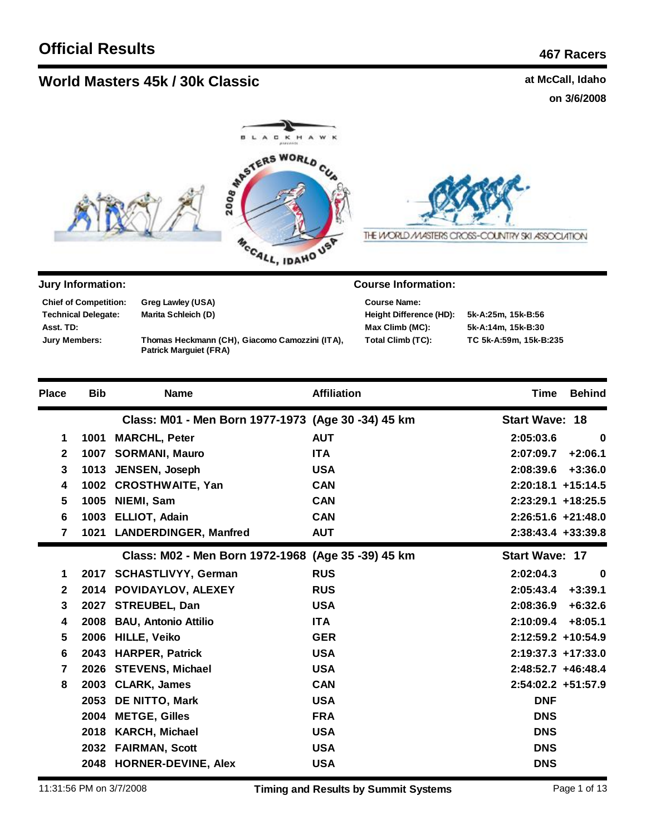**Technical Delegate: Chief of Competition:**

**Asst. TD: Jury Members:**

## **World Masters 45k / 30k Classic rights at McCall, Idaho** at McCall, Idaho

**Greg Lawley (USA) Marita Schleich (D)**

**Patrick Marguiet (FRA)**

**on 3/6/2008**



**Thomas Heckmann (CH), Giacomo Camozzini (ITA),** 



| 5k-A:25m, 15k-B:56 |
|--------------------|
| 5k-A:14m, 15k-B:30 |
| TC 5k-A:59m, 15k-E |
|                    |

THE WORLD MASTERS CROSS-COUNTRY SKI ASSOCIATION

| 5k-A:25m, 15k-B:56     |
|------------------------|
| 5k-A:14m. 15k-B:30     |
| TC 5k-A:59m, 15k-B:235 |

| <b>Place</b>   | <b>Bib</b> | <b>Name</b>                                        | <b>Affiliation</b> | <b>Time</b><br><b>Behind</b> |
|----------------|------------|----------------------------------------------------|--------------------|------------------------------|
|                |            | Class: M01 - Men Born 1977-1973 (Age 30 -34) 45 km |                    | <b>Start Wave: 18</b>        |
| 1              | 1001       | <b>MARCHL, Peter</b>                               | <b>AUT</b>         | 2:05:03.6<br>$\bf{0}$        |
| $\mathbf{2}$   | 1007       | <b>SORMANI, Mauro</b>                              | <b>ITA</b>         | $+2:06.1$<br>2:07:09.7       |
| 3              | 1013       | JENSEN, Joseph                                     | <b>USA</b>         | $+3:36.0$<br>2:08:39.6       |
| 4              |            | 1002 CROSTHWAITE, Yan                              | <b>CAN</b>         | $2:20:18.1 + 15:14.5$        |
| 5              | 1005       | NIEMI, Sam                                         | <b>CAN</b>         | 2:23:29.1 +18:25.5           |
| 6              | 1003       | <b>ELLIOT, Adain</b>                               | <b>CAN</b>         | $2:26:51.6 +21:48.0$         |
| $\overline{7}$ | 1021       | <b>LANDERDINGER, Manfred</b>                       | <b>AUT</b>         | $2:38:43.4 + 33:39.8$        |
|                |            | Class: M02 - Men Born 1972-1968 (Age 35 -39) 45 km |                    | <b>Start Wave: 17</b>        |
| 1              |            | 2017 SCHASTLIVYY, German                           | <b>RUS</b>         | 2:02:04.3<br>$\bf{0}$        |
| $\mathbf{2}$   |            | 2014 POVIDAYLOV, ALEXEY                            | <b>RUS</b>         | $+3:39.1$<br>2:05:43.4       |
| 3              | 2027       | <b>STREUBEL, Dan</b>                               | <b>USA</b>         | 2:08:36.9<br>$+6:32.6$       |
| 4              | 2008       | <b>BAU, Antonio Attilio</b>                        | <b>ITA</b>         | 2:10:09.4<br>$+8:05.1$       |
| 5              | 2006       | <b>HILLE, Veiko</b>                                | <b>GER</b>         | 2:12:59.2 +10:54.9           |
| 6              | 2043       | <b>HARPER, Patrick</b>                             | <b>USA</b>         | $2:19:37.3 + 17:33.0$        |
| $\overline{7}$ | 2026       | <b>STEVENS, Michael</b>                            | <b>USA</b>         | 2:48:52.7 +46:48.4           |
| 8              | 2003       | <b>CLARK, James</b>                                | <b>CAN</b>         | 2:54:02.2 +51:57.9           |
|                | 2053       | <b>DE NITTO, Mark</b>                              | <b>USA</b>         | <b>DNF</b>                   |
|                | 2004       | <b>METGE, Gilles</b>                               | <b>FRA</b>         | <b>DNS</b>                   |
|                | 2018       | <b>KARCH, Michael</b>                              | <b>USA</b>         | <b>DNS</b>                   |
|                |            | 2032 FAIRMAN, Scott                                | <b>USA</b>         | <b>DNS</b>                   |
|                |            | 2048 HORNER-DEVINE, Alex                           | <b>USA</b>         | <b>DNS</b>                   |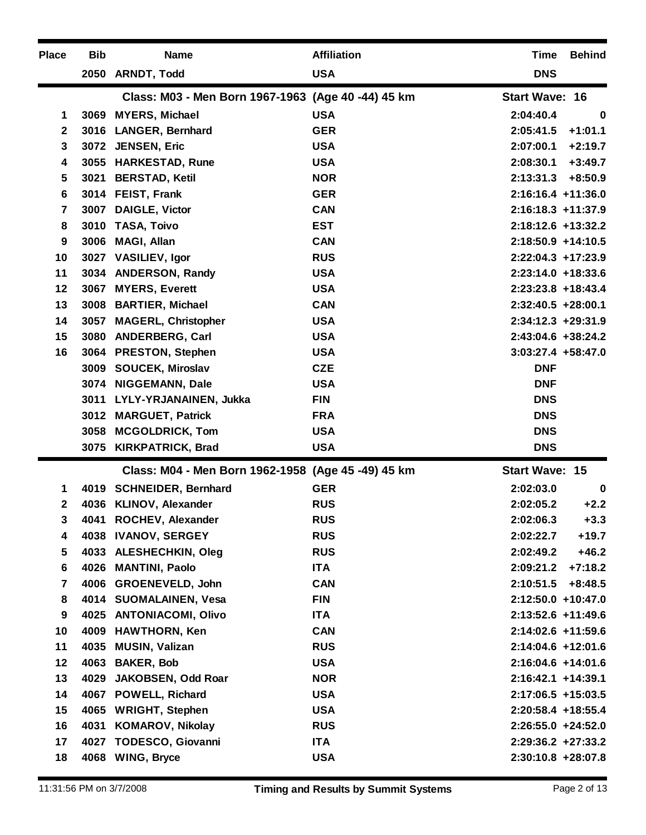| <b>Place</b> | <b>Bib</b> | <b>Name</b>                                        | <b>Affiliation</b> | <b>Time</b>           | <b>Behind</b> |
|--------------|------------|----------------------------------------------------|--------------------|-----------------------|---------------|
|              |            | 2050 ARNDT, Todd                                   | <b>USA</b>         | <b>DNS</b>            |               |
|              |            | Class: M03 - Men Born 1967-1963 (Age 40 -44) 45 km |                    | <b>Start Wave: 16</b> |               |
| 1            |            | 3069 MYERS, Michael                                | <b>USA</b>         | 2:04:40.4             | $\bf{0}$      |
| $\mathbf{2}$ | 3016       | <b>LANGER, Bernhard</b>                            | <b>GER</b>         | 2:05:41.5             | $+1:01.1$     |
| 3            |            | 3072 JENSEN, Eric                                  | <b>USA</b>         | 2:07:00.1             | $+2:19.7$     |
| 4            |            | 3055 HARKESTAD, Rune                               | <b>USA</b>         | 2:08:30.1             | $+3:49.7$     |
| 5            | 3021       | <b>BERSTAD, Ketil</b>                              | <b>NOR</b>         | 2:13:31.3             | $+8:50.9$     |
| 6            |            | 3014 FEIST, Frank                                  | <b>GER</b>         | $2:16:16.4$ +11:36.0  |               |
| 7            |            | 3007 DAIGLE, Victor                                | <b>CAN</b>         | $2:16:18.3 + 11:37.9$ |               |
| 8            | 3010       | TASA, Toivo                                        | <b>EST</b>         | 2:18:12.6 +13:32.2    |               |
| 9            | 3006       | <b>MAGI, Allan</b>                                 | <b>CAN</b>         | $2:18:50.9$ +14:10.5  |               |
| 10           | 3027       | <b>VASILIEV, Igor</b>                              | <b>RUS</b>         | $2:22:04.3$ +17:23.9  |               |
| 11           | 3034       | <b>ANDERSON, Randy</b>                             | <b>USA</b>         | $2:23:14.0 + 18:33.6$ |               |
| 12           |            | 3067 MYERS, Everett                                | <b>USA</b>         | $2:23:23.8$ +18:43.4  |               |
| 13           |            | 3008 BARTIER, Michael                              | <b>CAN</b>         | $2:32:40.5 + 28:00.1$ |               |
| 14           | 3057       | <b>MAGERL, Christopher</b>                         | <b>USA</b>         | $2:34:12.3 + 29:31.9$ |               |
| 15           |            | 3080 ANDERBERG, Carl                               | <b>USA</b>         | 2:43:04.6 +38:24.2    |               |
| 16           |            | 3064 PRESTON, Stephen                              | <b>USA</b>         | $3:03:27.4$ +58:47.0  |               |
|              |            | 3009 SOUCEK, Miroslav                              | <b>CZE</b>         | <b>DNF</b>            |               |
|              |            | 3074 NIGGEMANN, Dale                               | <b>USA</b>         | <b>DNF</b>            |               |
|              |            | 3011 LYLY-YRJANAINEN, Jukka                        | <b>FIN</b>         | <b>DNS</b>            |               |
|              |            | 3012 MARGUET, Patrick                              | <b>FRA</b>         | <b>DNS</b>            |               |
|              |            | 3058 MCGOLDRICK, Tom                               | <b>USA</b>         | <b>DNS</b>            |               |
|              | 3075       | <b>KIRKPATRICK, Brad</b>                           | <b>USA</b>         | <b>DNS</b>            |               |
|              |            | Class: M04 - Men Born 1962-1958 (Age 45 -49) 45 km |                    | <b>Start Wave: 15</b> |               |
| 1            |            | 4019 SCHNEIDER, Bernhard                           | <b>GER</b>         | 2:02:03.0             | $\bf{0}$      |
| 2            |            | 4036 KLINOV, Alexander                             | <b>RUS</b>         | 2:02:05.2             | $+2.2$        |
| 3            |            | 4041 ROCHEV, Alexander                             | <b>RUS</b>         | 2:02:06.3             | $+3.3$        |
| 4            |            | 4038 IVANOV, SERGEY                                | <b>RUS</b>         | 2:02:22.7             | $+19.7$       |
| 5            |            | 4033 ALESHECHKIN, Oleg                             | <b>RUS</b>         | 2:02:49.2             | $+46.2$       |
| 6            |            | 4026 MANTINI, Paolo                                | <b>ITA</b>         | 2:09:21.2             | $+7:18.2$     |
| 7            |            | 4006 GROENEVELD, John                              | <b>CAN</b>         | 2:10:51.5             | $+8:48.5$     |
| 8            |            | 4014 SUOMALAINEN, Vesa                             | <b>FIN</b>         | 2:12:50.0 +10:47.0    |               |
| 9            |            | 4025 ANTONIACOMI, Olivo                            | <b>ITA</b>         | 2:13:52.6 +11:49.6    |               |
| 10           |            | 4009 HAWTHORN, Ken                                 | <b>CAN</b>         | 2:14:02.6 +11:59.6    |               |
| 11           |            | 4035 MUSIN, Valizan                                | <b>RUS</b>         | 2:14:04.6 +12:01.6    |               |
| 12           |            | 4063 BAKER, Bob                                    | <b>USA</b>         | 2:16:04.6 +14:01.6    |               |
| 13           | 4029       | JAKOBSEN, Odd Roar                                 | <b>NOR</b>         | $2:16:42.1 + 14:39.1$ |               |
| 14           |            | 4067 POWELL, Richard                               | <b>USA</b>         | 2:17:06.5 +15:03.5    |               |
| 15           |            | 4065 WRIGHT, Stephen                               | <b>USA</b>         | 2:20:58.4 +18:55.4    |               |
| 16           | 4031       | <b>KOMAROV, Nikolay</b>                            | <b>RUS</b>         | $2:26:55.0 + 24:52.0$ |               |
| 17           |            | 4027 TODESCO, Giovanni                             | <b>ITA</b>         | $2:29:36.2 +27:33.2$  |               |
| 18           |            | 4068 WING, Bryce                                   | <b>USA</b>         | $2:30:10.8$ +28:07.8  |               |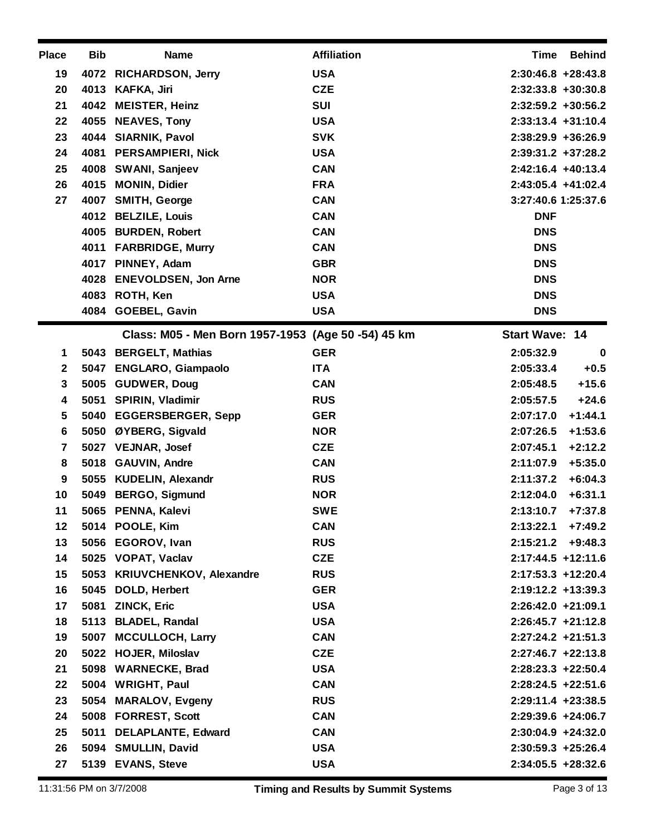| <b>Place</b> | <b>Bib</b> | <b>Name</b>                                        | <b>Affiliation</b> | <b>Time</b><br><b>Behind</b> |
|--------------|------------|----------------------------------------------------|--------------------|------------------------------|
| 19           | 4072       | <b>RICHARDSON, Jerry</b>                           | <b>USA</b>         | $2:30:46.8 + 28:43.8$        |
| 20           |            | 4013 KAFKA, Jiri                                   | <b>CZE</b>         | $2:32:33.8 + 30:30.8$        |
| 21           |            | 4042 MEISTER, Heinz                                | <b>SUI</b>         | $2:32:59.2$ +30:56.2         |
| 22           | 4055       | <b>NEAVES, Tony</b>                                | <b>USA</b>         | $2:33:13.4 +31:10.4$         |
| 23           |            | 4044 SIARNIK, Pavol                                | <b>SVK</b>         | $2:38:29.9 + 36:26.9$        |
| 24           | 4081       | <b>PERSAMPIERI, Nick</b>                           | <b>USA</b>         | $2:39:31.2 + 37:28.2$        |
| 25           |            | 4008 SWANI, Sanjeev                                | <b>CAN</b>         | 2:42:16.4 +40:13.4           |
| 26           | 4015       | <b>MONIN, Didier</b>                               | <b>FRA</b>         | 2:43:05.4 +41:02.4           |
| 27           |            | 4007 SMITH, George                                 | <b>CAN</b>         | 3:27:40.6 1:25:37.6          |
|              |            | 4012 BELZILE, Louis                                | <b>CAN</b>         | <b>DNF</b>                   |
|              |            | 4005 BURDEN, Robert                                | <b>CAN</b>         | <b>DNS</b>                   |
|              |            | 4011 FARBRIDGE, Murry                              | <b>CAN</b>         | <b>DNS</b>                   |
|              |            | 4017 PINNEY, Adam                                  | <b>GBR</b>         | <b>DNS</b>                   |
|              |            | 4028 ENEVOLDSEN, Jon Arne                          | <b>NOR</b>         | <b>DNS</b>                   |
|              |            | 4083 ROTH, Ken                                     | <b>USA</b>         | <b>DNS</b>                   |
|              | 4084       | <b>GOEBEL, Gavin</b>                               | <b>USA</b>         | <b>DNS</b>                   |
|              |            | Class: M05 - Men Born 1957-1953 (Age 50 -54) 45 km |                    | <b>Start Wave: 14</b>        |
| 1            |            | 5043 BERGELT, Mathias                              | <b>GER</b>         | 2:05:32.9<br>$\mathbf 0$     |
| $\mathbf{2}$ |            | 5047 ENGLARO, Giampaolo                            | <b>ITA</b>         | 2:05:33.4<br>$+0.5$          |
| 3            | 5005       | <b>GUDWER, Doug</b>                                | <b>CAN</b>         | $+15.6$<br>2:05:48.5         |
| 4            |            | 5051 SPIRIN, Vladimir                              | <b>RUS</b>         | 2:05:57.5<br>$+24.6$         |
| 5            |            | 5040 EGGERSBERGER, Sepp                            | <b>GER</b>         | $+1:44.1$<br>2:07:17.0       |
| 6            | 5050       | ØYBERG, Sigvald                                    | <b>NOR</b>         | $+1:53.6$<br>2:07:26.5       |
| 7            |            | 5027 VEJNAR, Josef                                 | <b>CZE</b>         | $+2:12.2$<br>2:07:45.1       |
| 8            |            | 5018 GAUVIN, Andre                                 | <b>CAN</b>         | $+5:35.0$<br>2:11:07.9       |
| 9            |            | 5055 KUDELIN, Alexandr                             | <b>RUS</b>         | $+6:04.3$<br>2:11:37.2       |
| 10           | 5049       | <b>BERGO, Sigmund</b>                              | <b>NOR</b>         | $+6:31.1$<br>2:12:04.0       |
| 11           |            | 5065 PENNA, Kalevi                                 | <b>SWE</b>         | $+7:37.8$<br>2:13:10.7       |
| 12           |            | 5014 POOLE, Kim                                    | <b>CAN</b>         | $2:13:22.1$ +7:49.2          |
| 13           |            | 5056 EGOROV, Ivan                                  | <b>RUS</b>         | 2:15:21.2<br>$+9:48.3$       |
| 14           |            | 5025 VOPAT, Vaclav                                 | <b>CZE</b>         | $2:17:44.5$ +12:11.6         |
| 15           |            | 5053 KRIUVCHENKOV, Alexandre                       | <b>RUS</b>         | 2:17:53.3 +12:20.4           |
| 16           |            | 5045 DOLD, Herbert                                 | <b>GER</b>         | $2:19:12.2 + 13:39.3$        |
| 17           | 5081       | <b>ZINCK, Eric</b>                                 | <b>USA</b>         | $2:26:42.0 +21:09.1$         |
| 18           |            | 5113 BLADEL, Randal                                | <b>USA</b>         | $2:26:45.7$ +21:12.8         |
| 19           |            | 5007 MCCULLOCH, Larry                              | <b>CAN</b>         | $2:27:24.2$ +21:51.3         |
| 20           |            | 5022 HOJER, Miloslav                               | <b>CZE</b>         | $2:27:46.7$ +22:13.8         |
| 21           |            | 5098 WARNECKE, Brad                                | <b>USA</b>         | $2:28:23.3 +22:50.4$         |
| 22           |            | 5004 WRIGHT, Paul                                  | <b>CAN</b>         | $2:28:24.5$ +22:51.6         |
| 23           |            | 5054 MARALOV, Evgeny                               | <b>RUS</b>         | $2:29:11.4$ +23:38.5         |
| 24           |            | 5008 FORREST, Scott                                | <b>CAN</b>         | $2:29:39.6$ +24:06.7         |
| 25           |            | 5011 DELAPLANTE, Edward                            | <b>CAN</b>         | $2:30:04.9$ +24:32.0         |
| 26           |            |                                                    |                    |                              |
|              |            | 5094 SMULLIN, David                                | <b>USA</b>         | $2:30:59.3 +25:26.4$         |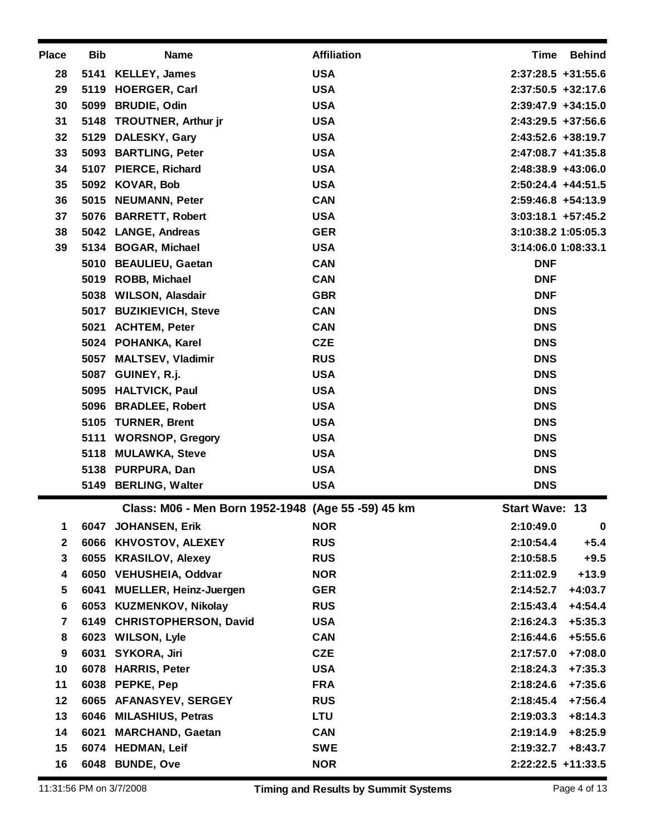| <b>Place</b>            | <b>Bib</b> | <b>Name</b>                                        | <b>Affiliation</b> | Time<br><b>Behind</b>         |
|-------------------------|------------|----------------------------------------------------|--------------------|-------------------------------|
| 28                      |            | 5141 KELLEY, James                                 | <b>USA</b>         | $2:37:28.5$ +31:55.6          |
| 29                      |            | 5119 HOERGER, Carl                                 | <b>USA</b>         | $2:37:50.5 + 32:17.6$         |
| 30                      |            | 5099 BRUDIE, Odin                                  | <b>USA</b>         | $2:39:47.9$ +34:15.0          |
| 31                      |            | 5148 TROUTNER, Arthur jr                           | <b>USA</b>         | $2:43:29.5 +37:56.6$          |
| 32                      |            | 5129 DALESKY, Gary                                 | <b>USA</b>         | $2:43:52.6 + 38:19.7$         |
| 33                      |            | 5093 BARTLING, Peter                               | <b>USA</b>         | $2:47:08.7$ +41:35.8          |
| 34                      |            | 5107 PIERCE, Richard                               | <b>USA</b>         | 2:48:38.9 +43:06.0            |
| 35                      |            | 5092 KOVAR, Bob                                    | <b>USA</b>         | $2:50:24.4$ +44:51.5          |
| 36                      |            | 5015 NEUMANN, Peter                                | <b>CAN</b>         | $2:59:46.8$ +54:13.9          |
| 37                      |            | 5076 BARRETT, Robert                               | <b>USA</b>         | $3:03:18.1 + 57:45.2$         |
| 38                      |            | 5042 LANGE, Andreas                                | <b>GER</b>         | 3:10:38.2 1:05:05.3           |
| 39                      |            | 5134 BOGAR, Michael                                | <b>USA</b>         | 3:14:06.0 1:08:33.1           |
|                         |            | 5010 BEAULIEU, Gaetan                              | <b>CAN</b>         | <b>DNF</b>                    |
|                         |            | 5019 ROBB, Michael                                 | <b>CAN</b>         | <b>DNF</b>                    |
|                         |            | 5038 WILSON, Alasdair                              | <b>GBR</b>         | <b>DNF</b>                    |
|                         |            | 5017 BUZIKIEVICH, Steve                            | <b>CAN</b>         | <b>DNS</b>                    |
|                         |            | 5021 ACHTEM, Peter                                 | <b>CAN</b>         | <b>DNS</b>                    |
|                         |            | 5024 POHANKA, Karel                                | <b>CZE</b>         | <b>DNS</b>                    |
|                         |            | 5057 MALTSEV, Vladimir                             | <b>RUS</b>         | <b>DNS</b>                    |
|                         |            | 5087 GUINEY, R.j.                                  | <b>USA</b>         | <b>DNS</b>                    |
|                         |            | 5095 HALTVICK, Paul                                | <b>USA</b>         | <b>DNS</b>                    |
|                         |            | 5096 BRADLEE, Robert                               | <b>USA</b>         | <b>DNS</b>                    |
|                         |            | 5105 TURNER, Brent                                 | <b>USA</b>         | <b>DNS</b>                    |
|                         |            | 5111 WORSNOP, Gregory                              | <b>USA</b>         | <b>DNS</b>                    |
|                         |            | 5118 MULAWKA, Steve                                | <b>USA</b>         | <b>DNS</b>                    |
|                         |            | 5138 PURPURA, Dan                                  | <b>USA</b>         | <b>DNS</b>                    |
|                         |            | 5149 BERLING, Walter                               | <b>USA</b>         | <b>DNS</b>                    |
|                         |            | Class: M06 - Men Born 1952-1948 (Age 55 -59) 45 km |                    | <b>Start Wave: 13</b>         |
| 1.                      |            | 6047 JOHANSEN, Erik                                | <b>NOR</b>         | 2:10:49.0<br>$\boldsymbol{0}$ |
| $\mathbf{2}$            |            | 6066 KHVOSTOV, ALEXEY                              | <b>RUS</b>         | 2:10:54.4<br>$+5.4$           |
| 3                       |            | 6055 KRASILOV, Alexey                              | <b>RUS</b>         | 2:10:58.5<br>$+9.5$           |
| 4                       |            | 6050 VEHUSHEIA, Oddvar                             | <b>NOR</b>         | $+13.9$<br>2:11:02.9          |
| 5                       |            | 6041 MUELLER, Heinz-Juergen                        | <b>GER</b>         | $+4:03.7$<br>2:14:52.7        |
| 6                       |            | 6053 KUZMENKOV, Nikolay                            | <b>RUS</b>         | $+4:54.4$<br>2:15:43.4        |
| $\overline{\mathbf{r}}$ |            | 6149 CHRISTOPHERSON, David                         | <b>USA</b>         | $+5:35.3$<br>2:16:24.3        |
| 8                       |            | 6023 WILSON, Lyle                                  | <b>CAN</b>         | $+5:55.6$<br>2:16:44.6        |
| 9                       |            | 6031 SYKORA, Jiri                                  | <b>CZE</b>         | $+7:08.0$<br>2:17:57.0        |
| 10                      |            | 6078 HARRIS, Peter                                 | <b>USA</b>         | $+7:35.3$<br>2:18:24.3        |
| 11                      |            | 6038 PEPKE, Pep                                    | <b>FRA</b>         | $+7:35.6$<br>2:18:24.6        |
| 12                      |            | 6065 AFANASYEV, SERGEY                             | <b>RUS</b>         | $+7:56.4$<br>2:18:45.4        |
| 13                      |            | 6046 MILASHIUS, Petras                             | <b>LTU</b>         | $+8:14.3$<br>2:19:03.3        |
| 14                      | 6021       | <b>MARCHAND, Gaetan</b>                            | <b>CAN</b>         | 2:19:14.9<br>$+8:25.9$        |
| 15                      |            | 6074 HEDMAN, Leif                                  | <b>SWE</b>         | $+8:43.7$<br>2:19:32.7        |
| 16                      |            | 6048 BUNDE, Ove                                    | <b>NOR</b>         | $2:22:22.5$ +11:33.5          |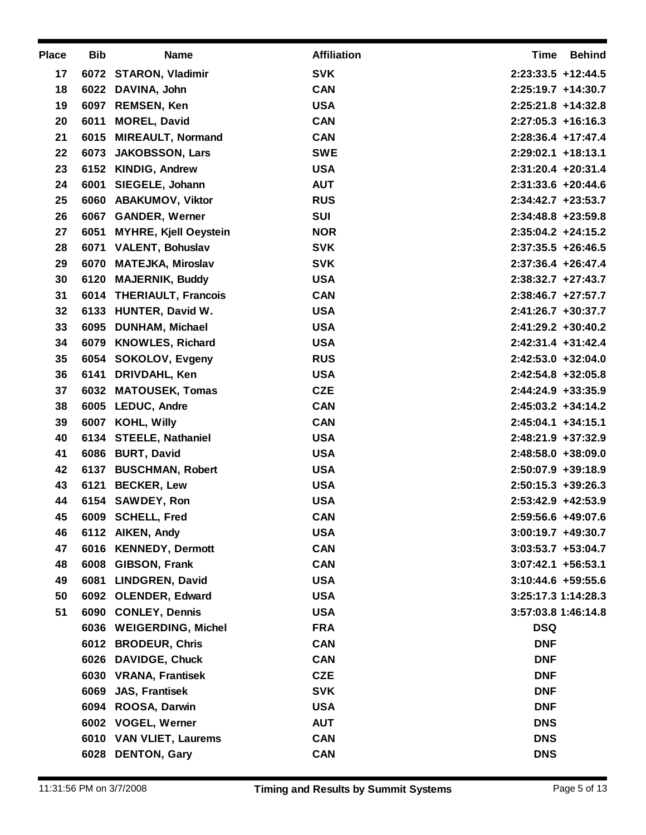| <b>Place</b> | <b>Bib</b> | <b>Name</b>                | <b>Affiliation</b> | Time<br>Behind        |
|--------------|------------|----------------------------|--------------------|-----------------------|
| 17           |            | 6072 STARON, Vladimir      | <b>SVK</b>         | $2:23:33.5$ +12:44.5  |
| 18           |            | 6022 DAVINA, John          | <b>CAN</b>         | 2:25:19.7 +14:30.7    |
| 19           |            | 6097 REMSEN, Ken           | <b>USA</b>         | $2:25:21.8$ +14:32.8  |
| 20           | 6011       | <b>MOREL, David</b>        | <b>CAN</b>         | $2:27:05.3$ +16:16.3  |
| 21           |            | 6015 MIREAULT, Normand     | <b>CAN</b>         | 2:28:36.4 +17:47.4    |
| 22           |            | 6073 JAKOBSSON, Lars       | <b>SWE</b>         | $2:29:02.1$ +18:13.1  |
| 23           |            | 6152 KINDIG, Andrew        | <b>USA</b>         | $2:31:20.4$ +20:31.4  |
| 24           | 6001       | SIEGELE, Johann            | <b>AUT</b>         | $2:31:33.6 + 20:44.6$ |
| 25           |            | 6060 ABAKUMOV, Viktor      | <b>RUS</b>         | $2:34:42.7$ +23:53.7  |
| 26           |            | 6067 GANDER, Werner        | SUI                | $2:34:48.8$ +23:59.8  |
| 27           |            | 6051 MYHRE, Kjell Oeystein | <b>NOR</b>         | $2:35:04.2 +24:15.2$  |
| 28           |            | 6071 VALENT, Bohuslav      | <b>SVK</b>         | $2:37:35.5 + 26:46.5$ |
| 29           |            | 6070 MATEJKA, Miroslav     | <b>SVK</b>         | $2:37:36.4$ +26:47.4  |
| 30           |            | 6120 MAJERNIK, Buddy       | <b>USA</b>         | $2:38:32.7$ +27:43.7  |
| 31           |            | 6014 THERIAULT, Francois   | <b>CAN</b>         | $2:38:46.7$ +27:57.7  |
| 32           |            | 6133 HUNTER, David W.      | <b>USA</b>         | 2:41:26.7 +30:37.7    |
| 33           |            | 6095 DUNHAM, Michael       | <b>USA</b>         | $2:41:29.2 +30:40.2$  |
| 34           |            | 6079 KNOWLES, Richard      | <b>USA</b>         | $2:42:31.4$ +31:42.4  |
| 35           |            | 6054 SOKOLOV, Evgeny       | <b>RUS</b>         | $2:42:53.0 + 32:04.0$ |
| 36           | 6141       | DRIVDAHL, Ken              | <b>USA</b>         | $2:42:54.8$ +32:05.8  |
| 37           |            | 6032 MATOUSEK, Tomas       | <b>CZE</b>         | $2:44:24.9$ +33:35.9  |
| 38           |            | 6005 LEDUC, Andre          | <b>CAN</b>         | $2:45:03.2 +34:14.2$  |
| 39           |            | 6007 KOHL, Willy           | <b>CAN</b>         | $2:45:04.1 + 34:15.1$ |
| 40           |            | 6134 STEELE, Nathaniel     | <b>USA</b>         | $2:48:21.9$ +37:32.9  |
| 41           |            | 6086 BURT, David           | <b>USA</b>         | $2:48:58.0 + 38:09.0$ |
| 42           |            | 6137 BUSCHMAN, Robert      | <b>USA</b>         | $2:50:07.9$ +39:18.9  |
| 43           |            | 6121 BECKER, Lew           | <b>USA</b>         | $2:50:15.3 + 39:26.3$ |
| 44           |            | 6154 SAWDEY, Ron           | <b>USA</b>         | 2:53:42.9 +42:53.9    |
| 45           |            | 6009 SCHELL, Fred          | <b>CAN</b>         | 2:59:56.6 +49:07.6    |
| 46           |            | 6112 AIKEN, Andy           | <b>USA</b>         | $3:00:19.7 +49:30.7$  |
| 47           |            | 6016 KENNEDY, Dermott      | <b>CAN</b>         | $3:03:53.7 +53:04.7$  |
| 48           |            | 6008 GIBSON, Frank         | <b>CAN</b>         | $3:07:42.1 + 56:53.1$ |
| 49           | 6081       | <b>LINDGREN, David</b>     | <b>USA</b>         | $3:10:44.6 + 59:55.6$ |
| 50           |            | 6092 OLENDER, Edward       | <b>USA</b>         | 3:25:17.3 1:14:28.3   |
| 51           |            | 6090 CONLEY, Dennis        | <b>USA</b>         | 3:57:03.8 1:46:14.8   |
|              |            | 6036 WEIGERDING, Michel    | <b>FRA</b>         | <b>DSQ</b>            |
|              |            | 6012 BRODEUR, Chris        | <b>CAN</b>         | <b>DNF</b>            |
|              |            | 6026 DAVIDGE, Chuck        | <b>CAN</b>         | <b>DNF</b>            |
|              |            | 6030 VRANA, Frantisek      | <b>CZE</b>         | <b>DNF</b>            |
|              | 6069       | <b>JAS, Frantisek</b>      | <b>SVK</b>         | <b>DNF</b>            |
|              |            | 6094 ROOSA, Darwin         | <b>USA</b>         | <b>DNF</b>            |
|              |            | 6002 VOGEL, Werner         | <b>AUT</b>         | <b>DNS</b>            |
|              |            | 6010 VAN VLIET, Laurems    | <b>CAN</b>         | <b>DNS</b>            |
|              |            | 6028 DENTON, Gary          | <b>CAN</b>         | <b>DNS</b>            |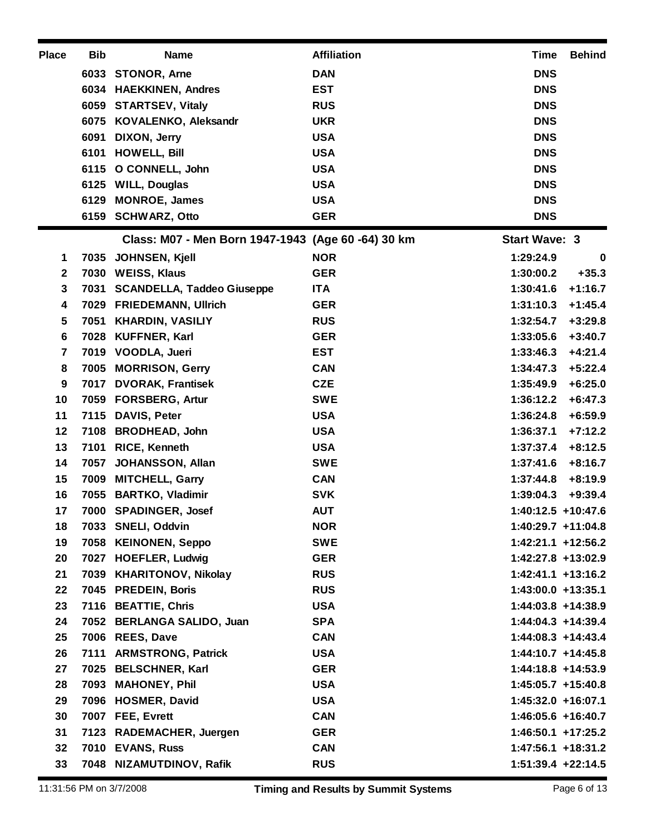| <b>Place</b> | <b>Bib</b> | <b>Name</b>                                        | <b>Affiliation</b> | <b>Time</b>           | <b>Behind</b> |
|--------------|------------|----------------------------------------------------|--------------------|-----------------------|---------------|
|              |            | 6033 STONOR, Arne                                  | <b>DAN</b>         | <b>DNS</b>            |               |
|              |            | 6034 HAEKKINEN, Andres                             | <b>EST</b>         | <b>DNS</b>            |               |
|              |            | 6059 STARTSEV, Vitaly                              | <b>RUS</b>         | <b>DNS</b>            |               |
|              |            | 6075 KOVALENKO, Aleksandr                          | <b>UKR</b>         | <b>DNS</b>            |               |
|              | 6091       | DIXON, Jerry                                       | <b>USA</b>         | <b>DNS</b>            |               |
|              | 6101       | <b>HOWELL, Bill</b>                                | <b>USA</b>         | <b>DNS</b>            |               |
|              |            | 6115 O CONNELL, John                               | <b>USA</b>         | <b>DNS</b>            |               |
|              |            | 6125 WILL, Douglas                                 | <b>USA</b>         | <b>DNS</b>            |               |
|              | 6129       | <b>MONROE, James</b>                               | <b>USA</b>         | <b>DNS</b>            |               |
|              |            | 6159 SCHWARZ, Otto                                 | <b>GER</b>         | <b>DNS</b>            |               |
|              |            | Class: M07 - Men Born 1947-1943 (Age 60 -64) 30 km |                    | <b>Start Wave: 3</b>  |               |
| 1            | 7035       | JOHNSEN, Kjell                                     | <b>NOR</b>         | 1:29:24.9             | $\mathbf 0$   |
| $\mathbf{2}$ | 7030       | <b>WEISS, Klaus</b>                                | <b>GER</b>         | 1:30:00.2             | $+35.3$       |
| 3            |            | 7031 SCANDELLA, Taddeo Giuseppe                    | <b>ITA</b>         | 1:30:41.6             | $+1:16.7$     |
| 4            |            | 7029 FRIEDEMANN, Ullrich                           | <b>GER</b>         | 1:31:10.3             | $+1:45.4$     |
| 5            | 7051       | <b>KHARDIN, VASILIY</b>                            | <b>RUS</b>         | 1:32:54.7             | $+3:29.8$     |
| 6            |            | 7028 KUFFNER, Karl                                 | <b>GER</b>         | 1:33:05.6             | $+3:40.7$     |
| 7            |            | 7019 VOODLA, Jueri                                 | <b>EST</b>         | 1:33:46.3             | $+4:21.4$     |
| 8            |            | 7005 MORRISON, Gerry                               | <b>CAN</b>         | 1:34:47.3             | $+5:22.4$     |
| 9            |            | 7017 DVORAK, Frantisek                             | <b>CZE</b>         | 1:35:49.9             | $+6:25.0$     |
| 10           |            | 7059 FORSBERG, Artur                               | <b>SWE</b>         | 1:36:12.2             | $+6:47.3$     |
| 11           |            | 7115 DAVIS, Peter                                  | <b>USA</b>         | 1:36:24.8             | $+6:59.9$     |
| 12           |            | 7108 BRODHEAD, John                                | <b>USA</b>         | 1:36:37.1             | $+7:12.2$     |
| 13           | 7101       | <b>RICE, Kenneth</b>                               | <b>USA</b>         | 1:37:37.4             | $+8:12.5$     |
| 14           | 7057       | <b>JOHANSSON, Allan</b>                            | <b>SWE</b>         | 1:37:41.6             | $+8:16.7$     |
| 15           | 7009       | <b>MITCHELL, Garry</b>                             | <b>CAN</b>         | 1:37:44.8             | $+8:19.9$     |
| 16           |            | 7055 BARTKO, Vladimir                              | <b>SVK</b>         | 1:39:04.3             | $+9:39.4$     |
| 17           |            | 7000 SPADINGER, Josef                              | <b>AUT</b>         | 1:40:12.5 +10:47.6    |               |
| 18           |            | 7033 SNELI, Oddvin                                 | <b>NOR</b>         | $1:40:29.7$ +11:04.8  |               |
| 19           |            | 7058 KEINONEN, Seppo                               | <b>SWE</b>         | $1:42:21.1$ +12:56.2  |               |
| 20           |            | 7027 HOEFLER, Ludwig                               | <b>GER</b>         | 1:42:27.8 +13:02.9    |               |
| 21           |            | 7039 KHARITONOV, Nikolay                           | <b>RUS</b>         | $1:42:41.1$ +13:16.2  |               |
| 22           |            | 7045 PREDEIN, Boris                                | <b>RUS</b>         | $1:43:00.0 + 13:35.1$ |               |
| 23           |            | 7116 BEATTIE, Chris                                | <b>USA</b>         | 1:44:03.8 +14:38.9    |               |
| 24           |            | 7052 BERLANGA SALIDO, Juan                         | <b>SPA</b>         | $1:44:04.3 +14:39.4$  |               |
| 25           |            | 7006 REES, Dave                                    | <b>CAN</b>         | $1:44:08.3 +14:43.4$  |               |
| 26           |            | 7111 ARMSTRONG, Patrick                            | <b>USA</b>         | $1:44:10.7 + 14:45.8$ |               |
| 27           |            | 7025 BELSCHNER, Karl                               | <b>GER</b>         | 1:44:18.8 +14:53.9    |               |
| 28           |            | 7093 MAHONEY, Phil                                 | <b>USA</b>         | $1:45:05.7$ +15:40.8  |               |
| 29           |            | 7096 HOSMER, David                                 | <b>USA</b>         | $1:45:32.0 + 16:07.1$ |               |
| 30           |            | 7007 FEE, Evrett                                   | <b>CAN</b>         | 1:46:05.6 +16:40.7    |               |
| 31           |            | 7123 RADEMACHER, Juergen                           | <b>GER</b>         | $1:46:50.1$ +17:25.2  |               |
| 32           |            | 7010 EVANS, Russ                                   | <b>CAN</b>         | 1:47:56.1 +18:31.2    |               |
| 33           |            | 7048 NIZAMUTDINOV, Rafik                           | <b>RUS</b>         | $1:51:39.4$ +22:14.5  |               |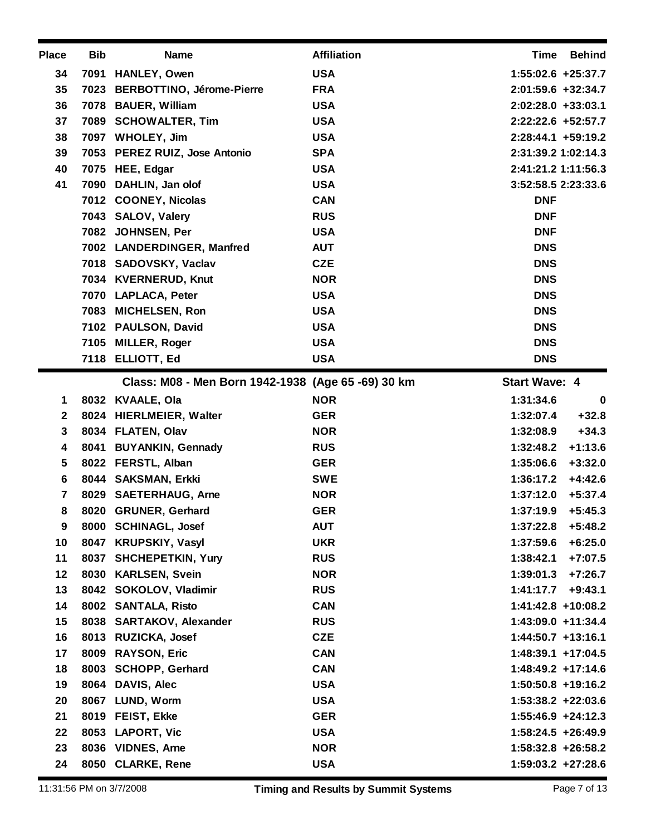| <b>Place</b> | <b>Bib</b> | <b>Name</b>                                        | <b>Affiliation</b> | <b>Time</b><br><b>Behind</b> |
|--------------|------------|----------------------------------------------------|--------------------|------------------------------|
| 34           | 7091       | <b>HANLEY, Owen</b>                                | <b>USA</b>         | 1:55:02.6 +25:37.7           |
| 35           |            | 7023 BERBOTTINO, Jérome-Pierre                     | <b>FRA</b>         | 2:01:59.6 +32:34.7           |
| 36           |            | 7078 BAUER, William                                | <b>USA</b>         | $2:02:28.0 + 33:03.1$        |
| 37           |            | 7089 SCHOWALTER, Tim                               | <b>USA</b>         | 2:22:22.6 +52:57.7           |
| 38           |            | 7097 WHOLEY, Jim                                   | <b>USA</b>         | $2:28:44.1 + 59:19.2$        |
| 39           |            | 7053 PEREZ RUIZ, Jose Antonio                      | <b>SPA</b>         | 2:31:39.2 1:02:14.3          |
| 40           |            | 7075 HEE, Edgar                                    | <b>USA</b>         | 2:41:21.2 1:11:56.3          |
| 41           |            | 7090 DAHLIN, Jan olof                              | <b>USA</b>         | 3:52:58.5 2:23:33.6          |
|              |            | 7012 COONEY, Nicolas                               | <b>CAN</b>         | <b>DNF</b>                   |
|              |            | 7043 SALOV, Valery                                 | <b>RUS</b>         | <b>DNF</b>                   |
|              |            | 7082 JOHNSEN, Per                                  | <b>USA</b>         | <b>DNF</b>                   |
|              |            | 7002 LANDERDINGER, Manfred                         | <b>AUT</b>         | <b>DNS</b>                   |
|              |            | 7018 SADOVSKY, Vaclav                              | <b>CZE</b>         | <b>DNS</b>                   |
|              |            | 7034 KVERNERUD, Knut                               | <b>NOR</b>         | <b>DNS</b>                   |
|              |            | 7070 LAPLACA, Peter                                | <b>USA</b>         | <b>DNS</b>                   |
|              |            | 7083 MICHELSEN, Ron                                | <b>USA</b>         | <b>DNS</b>                   |
|              |            | 7102 PAULSON, David                                | <b>USA</b>         | <b>DNS</b>                   |
|              |            | 7105 MILLER, Roger                                 | <b>USA</b>         | <b>DNS</b>                   |
|              |            | 7118 ELLIOTT, Ed                                   | <b>USA</b>         | <b>DNS</b>                   |
|              |            | Class: M08 - Men Born 1942-1938 (Age 65 -69) 30 km |                    | <b>Start Wave: 4</b>         |
| 1            |            | 8032 KVAALE, Ola                                   | <b>NOR</b>         | 1:31:34.6<br>$\bf{0}$        |
| $\mathbf 2$  |            | 8024 HIERLMEIER, Walter                            | <b>GER</b>         | $+32.8$<br>1:32:07.4         |
| 3            |            | 8034 FLATEN, Olav                                  | <b>NOR</b>         | $+34.3$<br>1:32:08.9         |
| 4            |            | 8041 BUYANKIN, Gennady                             | <b>RUS</b>         | $+1:13.6$<br>1:32:48.2       |
| 5            |            | 8022 FERSTL, Alban                                 | <b>GER</b>         | 1:35:06.6<br>$+3:32.0$       |
| 6            |            | 8044 SAKSMAN, Erkki                                | <b>SWE</b>         | $+4:42.6$<br>1:36:17.2       |
| 7            |            | 8029 SAETERHAUG, Arne                              | <b>NOR</b>         | $+5:37.4$<br>1:37:12.0       |
| 8            |            | 8020 GRUNER, Gerhard                               | <b>GER</b>         | $+5:45.3$<br>1:37:19.9       |
| 9            |            | 8000 SCHINAGL, Josef                               | <b>AUT</b>         | 1:37:22.8<br>$+5:48.2$       |
| 10           |            | 8047 KRUPSKIY, Vasyl                               | <b>UKR</b>         | 1:37:59.6<br>$+6:25.0$       |
| 11           |            | 8037 SHCHEPETKIN, Yury                             | <b>RUS</b>         | $+7:07.5$<br>1:38:42.1       |
| 12           |            | 8030 KARLSEN, Svein                                | <b>NOR</b>         | 1:39:01.3<br>$+7:26.7$       |
| 13           |            | 8042 SOKOLOV, Vladimir                             | <b>RUS</b>         | 1:41:17.7<br>$+9:43.1$       |
| 14           |            | 8002 SANTALA, Risto                                | <b>CAN</b>         | 1:41:42.8 +10:08.2           |
| 15           |            | 8038 SARTAKOV, Alexander                           | <b>RUS</b>         | 1:43:09.0 +11:34.4           |
| 16           |            | 8013 RUZICKA, Josef                                | <b>CZE</b>         | $1:44:50.7$ +13:16.1         |
| 17           |            | 8009 RAYSON, Eric                                  | <b>CAN</b>         | $1:48:39.1 + 17:04.5$        |
| 18           |            | 8003 SCHOPP, Gerhard                               | <b>CAN</b>         | $1:48:49.2 +17:14.6$         |
| 19           |            | 8064 DAVIS, Alec                                   | <b>USA</b>         | $1:50:50.8$ +19:16.2         |
| 20           |            | 8067 LUND, Worm                                    | <b>USA</b>         | $1:53:38.2 +22:03.6$         |
| 21           |            | 8019 FEIST, Ekke                                   | <b>GER</b>         | $1:55:46.9$ +24:12.3         |
| 22           |            | 8053 LAPORT, Vic                                   | <b>USA</b>         | $1:58:24.5 +26:49.9$         |
| 23           |            | 8036 VIDNES, Arne                                  | <b>NOR</b>         | $1:58:32.8$ +26:58.2         |
| 24           |            | 8050 CLARKE, Rene                                  | <b>USA</b>         | $1:59:03.2 +27:28.6$         |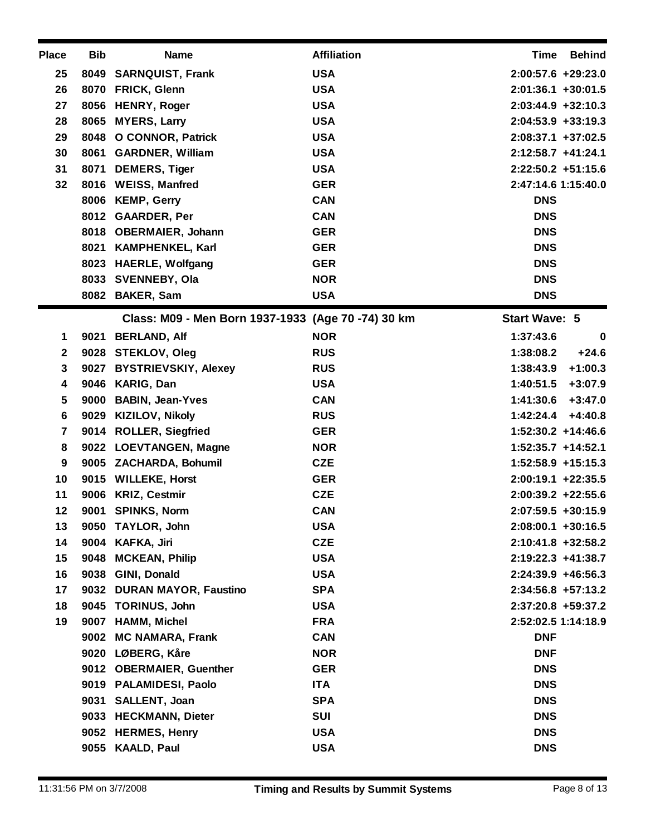| <b>Place</b> | <b>Bib</b> | <b>Name</b>                                        | <b>Affiliation</b> | Time<br><b>Behind</b>    |
|--------------|------------|----------------------------------------------------|--------------------|--------------------------|
| 25           |            | 8049 SARNQUIST, Frank                              | <b>USA</b>         | $2:00:57.6$ +29:23.0     |
| 26           |            | 8070 FRICK, Glenn                                  | <b>USA</b>         | $2:01:36.1 + 30:01.5$    |
| 27           |            | 8056 HENRY, Roger                                  | <b>USA</b>         | $2:03:44.9$ +32:10.3     |
| 28           | 8065       | <b>MYERS, Larry</b>                                | <b>USA</b>         | $2:04:53.9 + 33:19.3$    |
| 29           | 8048       | <b>O CONNOR, Patrick</b>                           | <b>USA</b>         | $2:08:37.1$ +37:02.5     |
| 30           | 8061       | <b>GARDNER, William</b>                            | <b>USA</b>         | $2:12:58.7$ +41:24.1     |
| 31           |            | 8071 DEMERS, Tiger                                 | <b>USA</b>         | $2:22:50.2$ +51:15.6     |
| 32           |            | 8016 WEISS, Manfred                                | <b>GER</b>         | 2:47:14.6 1:15:40.0      |
|              |            | 8006 KEMP, Gerry                                   | <b>CAN</b>         | <b>DNS</b>               |
|              |            | 8012 GAARDER, Per                                  | <b>CAN</b>         | <b>DNS</b>               |
|              |            | 8018 OBERMAIER, Johann                             | <b>GER</b>         | <b>DNS</b>               |
|              |            | 8021 KAMPHENKEL, Karl                              | <b>GER</b>         | <b>DNS</b>               |
|              |            | 8023 HAERLE, Wolfgang                              | <b>GER</b>         | <b>DNS</b>               |
|              |            | 8033 SVENNEBY, Ola                                 | <b>NOR</b>         | <b>DNS</b>               |
|              |            | 8082 BAKER, Sam                                    | <b>USA</b>         | <b>DNS</b>               |
|              |            | Class: M09 - Men Born 1937-1933 (Age 70 -74) 30 km |                    | <b>Start Wave: 5</b>     |
| 1            |            | 9021 BERLAND, Alf                                  | <b>NOR</b>         | 1:37:43.6<br>$\mathbf 0$ |
| $\mathbf{2}$ |            | 9028 STEKLOV, Oleg                                 | <b>RUS</b>         | $+24.6$<br>1:38:08.2     |
| 3            |            | 9027 BYSTRIEVSKIY, Alexey                          | <b>RUS</b>         | $+1:00.3$<br>1:38:43.9   |
| 4            |            | 9046 KARIG, Dan                                    | <b>USA</b>         | 1:40:51.5<br>$+3:07.9$   |
| 5            | 9000       | <b>BABIN, Jean-Yves</b>                            | <b>CAN</b>         | 1:41:30.6<br>$+3:47.0$   |
| 6            |            | 9029 KIZILOV, Nikoly                               | <b>RUS</b>         | 1:42:24.4<br>$+4:40.8$   |
| 7            |            | 9014 ROLLER, Siegfried                             | <b>GER</b>         | $1:52:30.2 +14:46.6$     |
| 8            |            | 9022 LOEVTANGEN, Magne                             | <b>NOR</b>         | $1:52:35.7 +14:52.1$     |
| 9            |            | 9005 ZACHARDA, Bohumil                             | <b>CZE</b>         | 1:52:58.9 +15:15.3       |
| 10           |            | 9015 WILLEKE, Horst                                | <b>GER</b>         | $2:00:19.1 + 22:35.5$    |
| 11           | 9006       | <b>KRIZ, Cestmir</b>                               | <b>CZE</b>         | $2:00:39.2 +22:55.6$     |
| 12           | 9001       | <b>SPINKS, Norm</b>                                | <b>CAN</b>         | 2:07:59.5 +30:15.9       |
| 13           |            | 9050 TAYLOR, John                                  | <b>USA</b>         | $2:08:00.1 + 30:16.5$    |
| 14           |            | 9004 KAFKA, Jiri                                   | <b>CZE</b>         | 2:10:41.8 +32:58.2       |
| 15           | 9048       | <b>MCKEAN, Philip</b>                              | <b>USA</b>         | $2:19:22.3$ +41:38.7     |
| 16           |            | 9038 GINI, Donald                                  | <b>USA</b>         | $2:24:39.9 + 46:56.3$    |
| 17           |            | 9032 DURAN MAYOR, Faustino                         | <b>SPA</b>         | $2:34:56.8$ +57:13.2     |
| 18           |            | 9045 TORINUS, John                                 | <b>USA</b>         | 2:37:20.8 +59:37.2       |
| 19           | 9007       | <b>HAMM, Michel</b>                                | <b>FRA</b>         | 2:52:02.5 1:14:18.9      |
|              | 9002       | <b>MC NAMARA, Frank</b>                            | <b>CAN</b>         | <b>DNF</b>               |
|              |            | 9020 LØBERG, Kåre                                  | <b>NOR</b>         | <b>DNF</b>               |
|              |            | 9012 OBERMAIER, Guenther                           | <b>GER</b>         | <b>DNS</b>               |
|              |            | 9019 PALAMIDESI, Paolo                             | <b>ITA</b>         | <b>DNS</b>               |
|              |            | 9031 SALLENT, Joan                                 | <b>SPA</b>         | <b>DNS</b>               |
|              |            | 9033 HECKMANN, Dieter                              | <b>SUI</b>         | <b>DNS</b>               |
|              |            | 9052 HERMES, Henry                                 | <b>USA</b>         | <b>DNS</b>               |
|              |            | 9055 KAALD, Paul                                   | <b>USA</b>         | <b>DNS</b>               |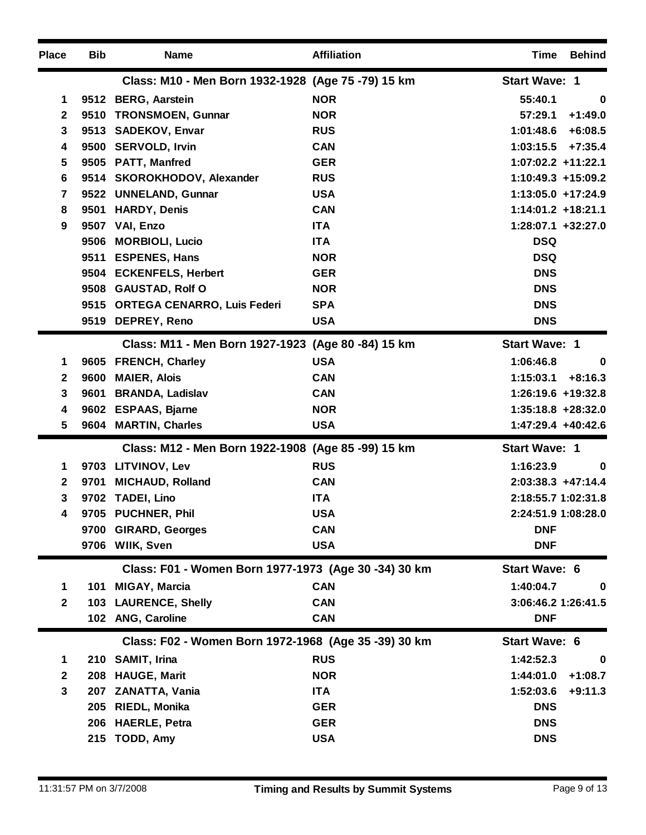| <b>Place</b> | <b>Bib</b> | <b>Name</b>                                          | <b>Affiliation</b> | Time                  | <b>Behind</b> |
|--------------|------------|------------------------------------------------------|--------------------|-----------------------|---------------|
|              |            | Class: M10 - Men Born 1932-1928 (Age 75 -79) 15 km   |                    | <b>Start Wave: 1</b>  |               |
| 1            |            | 9512 BERG, Aarstein                                  | <b>NOR</b>         | 55:40.1               | $\bf{0}$      |
| $\mathbf{2}$ | 9510       | <b>TRONSMOEN, Gunnar</b>                             | <b>NOR</b>         | 57:29.1               | $+1:49.0$     |
| 3            |            | 9513 SADEKOV, Envar                                  | <b>RUS</b>         | 1:01:48.6             | $+6:08.5$     |
| 4            |            | 9500 SERVOLD, Irvin                                  | <b>CAN</b>         | 1:03:15.5             | $+7:35.4$     |
| 5            |            | 9505 PATT, Manfred                                   | <b>GER</b>         | $1:07:02.2$ +11:22.1  |               |
| 6            |            | 9514 SKOROKHODOV, Alexander                          | <b>RUS</b>         | 1:10:49.3 +15:09.2    |               |
| 7            | 9522       | <b>UNNELAND, Gunnar</b>                              | <b>USA</b>         | 1:13:05.0 +17:24.9    |               |
| 8            | 9501       | <b>HARDY, Denis</b>                                  | <b>CAN</b>         | 1:14:01.2 +18:21.1    |               |
| 9            |            | 9507 VAI, Enzo                                       | <b>ITA</b>         | 1:28:07.1 +32:27.0    |               |
|              | 9506       | <b>MORBIOLI, Lucio</b>                               | <b>ITA</b>         | <b>DSQ</b>            |               |
|              | 9511       | <b>ESPENES, Hans</b>                                 | <b>NOR</b>         | <b>DSQ</b>            |               |
|              |            | 9504 ECKENFELS, Herbert                              | <b>GER</b>         | <b>DNS</b>            |               |
|              |            | 9508 GAUSTAD, Rolf O                                 | <b>NOR</b>         | <b>DNS</b>            |               |
|              |            | 9515 ORTEGA CENARRO, Luis Federi                     | <b>SPA</b>         | <b>DNS</b>            |               |
|              |            | 9519 DEPREY, Reno                                    | <b>USA</b>         | <b>DNS</b>            |               |
|              |            | Class: M11 - Men Born 1927-1923 (Age 80 -84) 15 km   |                    | <b>Start Wave: 1</b>  |               |
| 1            |            | 9605 FRENCH, Charley                                 | <b>USA</b>         | 1:06:46.8             | 0             |
| $\mathbf{2}$ | 9600       | <b>MAIER, Alois</b>                                  | <b>CAN</b>         | 1:15:03.1             | $+8:16.3$     |
| 3            | 9601       | <b>BRANDA, Ladislav</b>                              | <b>CAN</b>         | 1:26:19.6 +19:32.8    |               |
| 4            |            | 9602 ESPAAS, Bjarne                                  | <b>NOR</b>         | $1:35:18.8 + 28:32.0$ |               |
| 5            |            | 9604 MARTIN, Charles                                 | <b>USA</b>         | 1:47:29.4 +40:42.6    |               |
|              |            | Class: M12 - Men Born 1922-1908 (Age 85 -99) 15 km   |                    | <b>Start Wave: 1</b>  |               |
| 1            |            | 9703 LITVINOV, Lev                                   | <b>RUS</b>         | 1:16:23.9             | 0             |
| $\mathbf{2}$ | 9701       | <b>MICHAUD, Rolland</b>                              | <b>CAN</b>         | $2:03:38.3 +47:14.4$  |               |
| 3            |            | 9702 TADEI, Lino                                     | <b>ITA</b>         | 2:18:55.7 1:02:31.8   |               |
| 4            |            | 9705 PUCHNER, Phil                                   | <b>USA</b>         | 2:24:51.9 1:08:28.0   |               |
|              |            | 9700 GIRARD, Georges                                 | <b>CAN</b>         | <b>DNF</b>            |               |
|              |            | 9706 WIIK, Sven                                      | <b>USA</b>         | <b>DNF</b>            |               |
|              |            | Class: F01 - Women Born 1977-1973 (Age 30 -34) 30 km |                    | <b>Start Wave: 6</b>  |               |
| 1            | 101        | <b>MIGAY, Marcia</b>                                 | <b>CAN</b>         | 1:40:04.7             | $\bf{0}$      |
| $\mathbf{2}$ | 103        | <b>LAURENCE, Shelly</b>                              | <b>CAN</b>         | 3:06:46.2 1:26:41.5   |               |
|              |            | 102 ANG, Caroline                                    | <b>CAN</b>         | <b>DNF</b>            |               |
|              |            | Class: F02 - Women Born 1972-1968 (Age 35 -39) 30 km |                    | <b>Start Wave: 6</b>  |               |
| 1            |            | 210 SAMIT, Irina                                     | <b>RUS</b>         | 1:42:52.3             | $\bf{0}$      |
| $\mathbf{2}$ | 208        | <b>HAUGE, Marit</b>                                  | <b>NOR</b>         | 1:44:01.0             | $+1:08.7$     |
| 3            | 207        | ZANATTA, Vania                                       | <b>ITA</b>         | 1:52:03.6             | $+9:11.3$     |
|              | 205        | RIEDL, Monika                                        | <b>GER</b>         | <b>DNS</b>            |               |
|              | 206        | <b>HAERLE, Petra</b>                                 | <b>GER</b>         | <b>DNS</b>            |               |
|              |            | 215 TODD, Amy                                        | <b>USA</b>         | <b>DNS</b>            |               |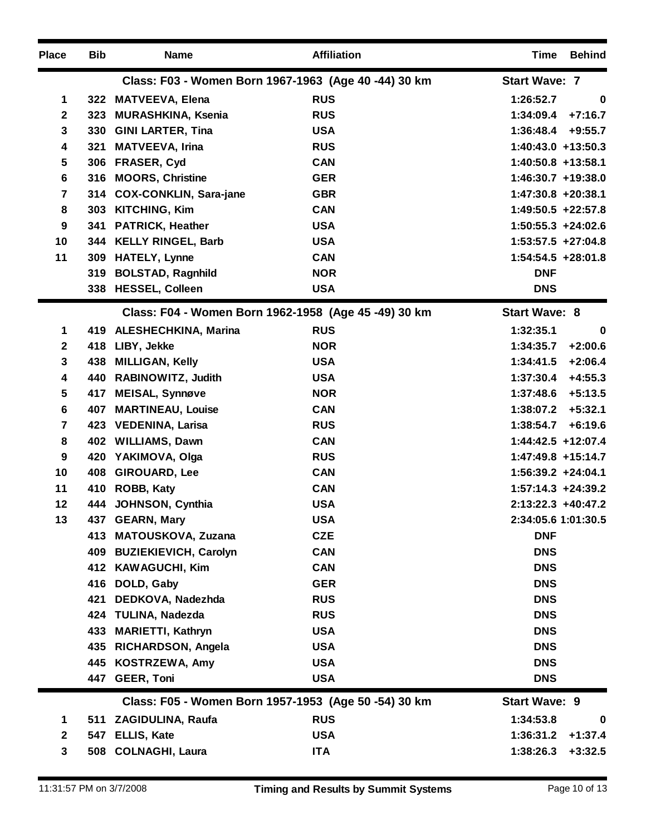| <b>Place</b>            | <b>Bib</b> | <b>Name</b>                  | <b>Affiliation</b>                                   | Time<br><b>Behind</b>  |
|-------------------------|------------|------------------------------|------------------------------------------------------|------------------------|
|                         |            |                              | Class: F03 - Women Born 1967-1963 (Age 40 -44) 30 km | <b>Start Wave: 7</b>   |
| 1                       |            | 322 MATVEEVA, Elena          | <b>RUS</b>                                           | 1:26:52.7<br>0         |
| $\mathbf 2$             | 323        | <b>MURASHKINA, Ksenia</b>    | <b>RUS</b>                                           | $+7:16.7$<br>1:34:09.4 |
| $\overline{\mathbf{3}}$ | 330        | <b>GINI LARTER, Tina</b>     | <b>USA</b>                                           | 1:36:48.4<br>$+9:55.7$ |
| 4                       | 321        | <b>MATVEEVA, Irina</b>       | <b>RUS</b>                                           | $1:40:43.0 +13:50.3$   |
| 5                       | 306        | <b>FRASER, Cyd</b>           | <b>CAN</b>                                           | 1:40:50.8 +13:58.1     |
| 6                       | 316        | <b>MOORS, Christine</b>      | <b>GER</b>                                           | 1:46:30.7 +19:38.0     |
| 7                       |            | 314 COX-CONKLIN, Sara-jane   | <b>GBR</b>                                           | $1:47:30.8 + 20:38.1$  |
| 8                       | 303        | <b>KITCHING, Kim</b>         | <b>CAN</b>                                           | 1:49:50.5 +22:57.8     |
| 9                       | 341        | <b>PATRICK, Heather</b>      | <b>USA</b>                                           | $1:50:55.3 + 24:02.6$  |
| 10                      |            | 344 KELLY RINGEL, Barb       | <b>USA</b>                                           | $1:53:57.5 +27:04.8$   |
| 11                      | 309        | <b>HATELY, Lynne</b>         | <b>CAN</b>                                           | 1:54:54.5 +28:01.8     |
|                         | 319        | <b>BOLSTAD, Ragnhild</b>     | <b>NOR</b>                                           | <b>DNF</b>             |
|                         |            | 338 HESSEL, Colleen          | <b>USA</b>                                           | <b>DNS</b>             |
|                         |            |                              | Class: F04 - Women Born 1962-1958 (Age 45 -49) 30 km | <b>Start Wave: 8</b>   |
| 1                       |            | 419 ALESHECHKINA, Marina     | <b>RUS</b>                                           | 1:32:35.1<br>0         |
| $\mathbf{2}$            | 418        | LIBY, Jekke                  | <b>NOR</b>                                           | $+2:00.6$<br>1:34:35.7 |
| 3                       | 438        | <b>MILLIGAN, Kelly</b>       | <b>USA</b>                                           | $+2:06.4$<br>1:34:41.5 |
| 4                       |            | 440 RABINOWITZ, Judith       | <b>USA</b>                                           | 1:37:30.4<br>$+4:55.3$ |
| 5                       |            | 417 MEISAL, Synnøve          | <b>NOR</b>                                           | $+5:13.5$<br>1:37:48.6 |
| 6                       | 407        | <b>MARTINEAU, Louise</b>     | <b>CAN</b>                                           | $+5:32.1$<br>1:38:07.2 |
| $\overline{7}$          |            | 423 VEDENINA, Larisa         | <b>RUS</b>                                           | $+6:19.6$<br>1:38:54.7 |
| 8                       |            | 402 WILLIAMS, Dawn           | <b>CAN</b>                                           | 1:44:42.5 +12:07.4     |
| 9                       | 420        | YAKIMOVA, Olga               | <b>RUS</b>                                           | 1:47:49.8 +15:14.7     |
| 10                      | 408        | <b>GIROUARD, Lee</b>         | <b>CAN</b>                                           | $1:56:39.2 +24:04.1$   |
| 11                      |            | 410 ROBB, Katy               | <b>CAN</b>                                           | 1:57:14.3 +24:39.2     |
| 12                      |            | 444 JOHNSON, Cynthia         | <b>USA</b>                                           | 2:13:22.3 +40:47.2     |
| 13                      |            | 437 GEARN, Mary              | <b>USA</b>                                           | 2:34:05.6 1:01:30.5    |
|                         |            | 413 MATOUSKOVA, Zuzana       | <b>CZE</b>                                           | <b>DNF</b>             |
|                         | 409        | <b>BUZIEKIEVICH, Carolyn</b> | <b>CAN</b>                                           | <b>DNS</b>             |
|                         |            | 412 KAWAGUCHI, Kim           | <b>CAN</b>                                           | <b>DNS</b>             |
|                         | 416        | DOLD, Gaby                   | <b>GER</b>                                           | <b>DNS</b>             |
|                         | 421        | DEDKOVA, Nadezhda            | <b>RUS</b>                                           | <b>DNS</b>             |
|                         |            | 424 TULINA, Nadezda          | <b>RUS</b>                                           | <b>DNS</b>             |
|                         | 433        | <b>MARIETTI, Kathryn</b>     | <b>USA</b>                                           | <b>DNS</b>             |
|                         | 435        | <b>RICHARDSON, Angela</b>    | <b>USA</b>                                           | <b>DNS</b>             |
|                         |            | 445 KOSTRZEWA, Amy           | <b>USA</b>                                           | <b>DNS</b>             |
|                         |            | 447 GEER, Toni               | <b>USA</b>                                           | <b>DNS</b>             |
|                         |            |                              | Class: F05 - Women Born 1957-1953 (Age 50 -54) 30 km | <b>Start Wave: 9</b>   |
| 1                       |            | 511 ZAGIDULINA, Raufa        | <b>RUS</b>                                           | 1:34:53.8<br>$\bf{0}$  |
| $\mathbf{2}$            | 547        | ELLIS, Kate                  | <b>USA</b>                                           | $+1:37.4$<br>1:36:31.2 |
| 3                       |            | 508 COLNAGHI, Laura          | <b>ITA</b>                                           | $+3:32.5$<br>1:38:26.3 |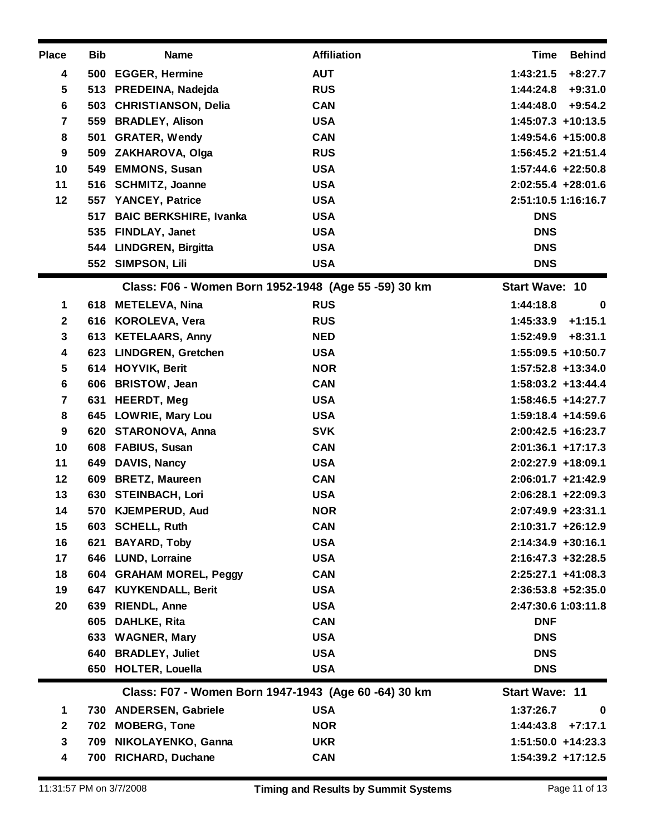| <b>Place</b> | <b>Bib</b> | <b>Name</b>                                          | <b>Affiliation</b>                                   | <b>Time</b><br><b>Behind</b> |
|--------------|------------|------------------------------------------------------|------------------------------------------------------|------------------------------|
| 4            |            | 500 EGGER, Hermine                                   | <b>AUT</b>                                           | 1:43:21.5<br>$+8:27.7$       |
| 5            |            | 513 PREDEINA, Nadejda                                | <b>RUS</b>                                           | $+9:31.0$<br>1:44:24.8       |
| 6            |            | 503 CHRISTIANSON, Delia                              | <b>CAN</b>                                           | $+9:54.2$<br>1:44:48.0       |
| 7            | 559        | <b>BRADLEY, Alison</b>                               | <b>USA</b>                                           | 1:45:07.3 +10:13.5           |
| 8            | 501        | <b>GRATER, Wendy</b>                                 | <b>CAN</b>                                           | 1:49:54.6 +15:00.8           |
| 9            |            | 509 ZAKHAROVA, Olga                                  | <b>RUS</b>                                           | $1:56:45.2 +21:51.4$         |
| 10           | 549        | <b>EMMONS, Susan</b>                                 | <b>USA</b>                                           | $1:57:44.6$ +22:50.8         |
| 11           | 516        | <b>SCHMITZ, Joanne</b>                               | <b>USA</b>                                           | 2:02:55.4 +28:01.6           |
| 12           | 557        | <b>YANCEY, Patrice</b>                               | <b>USA</b>                                           | 2:51:10.5 1:16:16.7          |
|              | 517        | <b>BAIC BERKSHIRE, Ivanka</b>                        | <b>USA</b>                                           | <b>DNS</b>                   |
|              |            | 535 FINDLAY, Janet                                   | <b>USA</b>                                           | <b>DNS</b>                   |
|              | 544        | <b>LINDGREN, Birgitta</b>                            | <b>USA</b>                                           | <b>DNS</b>                   |
|              |            | 552 SIMPSON, Lili                                    | <b>USA</b>                                           | <b>DNS</b>                   |
|              |            |                                                      | Class: F06 - Women Born 1952-1948 (Age 55 -59) 30 km | <b>Start Wave: 10</b>        |
| 1            |            | 618 METELEVA, Nina                                   | <b>RUS</b>                                           | 1:44:18.8<br>0               |
| $\mathbf{2}$ |            | 616 KOROLEVA, Vera                                   | <b>RUS</b>                                           | 1:45:33.9<br>$+1:15.1$       |
| 3            |            | 613 KETELAARS, Anny                                  | <b>NED</b>                                           | 1:52:49.9<br>$+8:31.1$       |
| 4            |            | 623 LINDGREN, Gretchen                               | <b>USA</b>                                           | 1:55:09.5 +10:50.7           |
| 5            |            | 614 HOYVIK, Berit                                    | <b>NOR</b>                                           | 1:57:52.8 +13:34.0           |
| 6            | 606        | <b>BRISTOW, Jean</b>                                 | <b>CAN</b>                                           | 1:58:03.2 +13:44.4           |
| 7            | 631        | <b>HEERDT, Meg</b>                                   | <b>USA</b>                                           | $1:58:46.5$ +14:27.7         |
| 8            |            | 645 LOWRIE, Mary Lou                                 | <b>USA</b>                                           | 1:59:18.4 +14:59.6           |
| 9            |            | 620 STARONOVA, Anna                                  | <b>SVK</b>                                           | $2:00:42.5$ +16:23.7         |
| 10           | 608        | <b>FABIUS, Susan</b>                                 | <b>CAN</b>                                           | $2:01:36.1$ +17:17.3         |
| 11           | 649        | DAVIS, Nancy                                         | <b>USA</b>                                           | 2:02:27.9 +18:09.1           |
| 12           | 609        | <b>BRETZ, Maureen</b>                                | <b>CAN</b>                                           | $2:06:01.7$ +21:42.9         |
| 13           |            | 630 STEINBACH, Lori                                  | <b>USA</b>                                           | $2:06:28.1 + 22:09.3$        |
| 14           | 570        | <b>KJEMPERUD, Aud</b>                                | <b>NOR</b>                                           | 2:07:49.9 +23:31.1           |
| 15           |            | 603 SCHELL, Ruth                                     | <b>CAN</b>                                           | $2:10:31.7 + 26:12.9$        |
| 16           | 621        | <b>BAYARD, Toby</b>                                  | <b>USA</b>                                           | $2:14:34.9$ +30:16.1         |
| 17           |            | 646 LUND, Lorraine                                   | <b>USA</b>                                           | $2:16:47.3$ +32:28.5         |
| 18           |            | 604 GRAHAM MOREL, Peggy                              | <b>CAN</b>                                           | $2:25:27.1$ +41:08.3         |
| 19           |            | 647 KUYKENDALL, Berit                                | <b>USA</b>                                           | $2:36:53.8 + 52:35.0$        |
| 20           | 639        | <b>RIENDL, Anne</b>                                  | <b>USA</b>                                           | 2:47:30.6 1:03:11.8          |
|              | 605        | <b>DAHLKE, Rita</b>                                  | <b>CAN</b>                                           | <b>DNF</b>                   |
|              | 633        | <b>WAGNER, Mary</b>                                  | <b>USA</b>                                           | <b>DNS</b>                   |
|              |            | 640 BRADLEY, Juliet                                  | <b>USA</b>                                           | <b>DNS</b>                   |
|              |            | 650 HOLTER, Louella                                  | <b>USA</b>                                           | <b>DNS</b>                   |
|              |            | Class: F07 - Women Born 1947-1943 (Age 60 -64) 30 km |                                                      | <b>Start Wave: 11</b>        |
| 1            |            | 730 ANDERSEN, Gabriele                               | <b>USA</b>                                           | 1:37:26.7<br>$\bf{0}$        |
| $\mathbf{2}$ |            | 702 MOBERG, Tone                                     | <b>NOR</b>                                           | $+7:17.1$<br>1:44:43.8       |
| 3            | 709        | <b>NIKOLAYENKO, Ganna</b>                            | <b>UKR</b>                                           | $1:51:50.0 + 14:23.3$        |
| 4            |            | 700 RICHARD, Duchane                                 | <b>CAN</b>                                           | $1:54:39.2 +17:12.5$         |
|              |            |                                                      |                                                      |                              |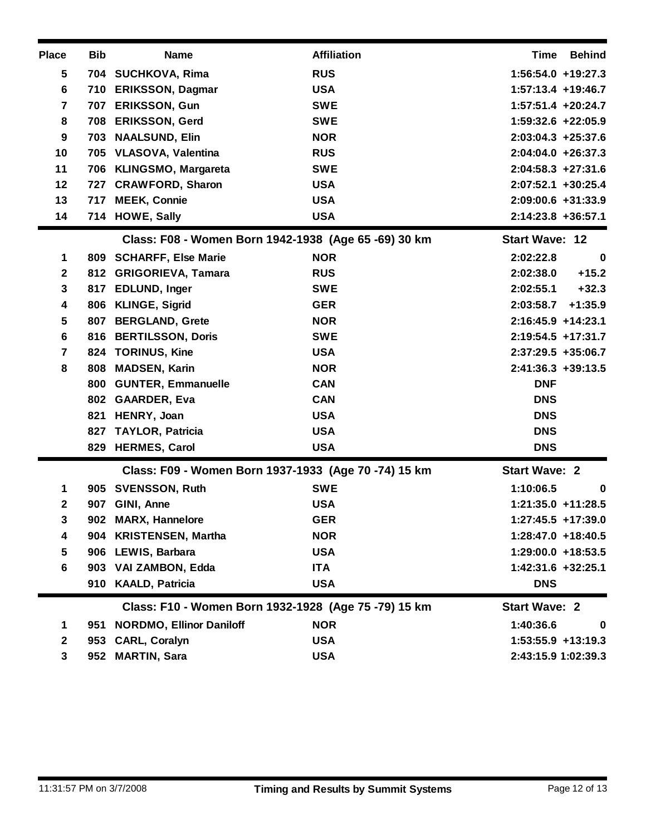| <b>Place</b>     | <b>Bib</b> | <b>Name</b>                                          | <b>Affiliation</b>   | <b>Time</b><br>Behind  |  |  |
|------------------|------------|------------------------------------------------------|----------------------|------------------------|--|--|
| 5                |            | 704 SUCHKOVA, Rima                                   | <b>RUS</b>           | 1:56:54.0 +19:27.3     |  |  |
| $\bf 6$          | 710        | <b>ERIKSSON, Dagmar</b>                              | <b>USA</b>           | 1:57:13.4 +19:46.7     |  |  |
| $\overline{7}$   | 707        | <b>ERIKSSON, Gun</b>                                 | <b>SWE</b>           | $1:57:51.4$ +20:24.7   |  |  |
| 8                | 708        | <b>ERIKSSON, Gerd</b>                                | <b>SWE</b>           | 1:59:32.6 +22:05.9     |  |  |
| 9                |            | 703 NAALSUND, Elin                                   | <b>NOR</b>           | $2:03:04.3 +25:37.6$   |  |  |
| 10               | 705        | <b>VLASOVA, Valentina</b>                            | <b>RUS</b>           | $2:04:04.0 + 26:37.3$  |  |  |
| 11               |            | 706 KLINGSMO, Margareta                              | <b>SWE</b>           | $2:04:58.3 +27:31.6$   |  |  |
| 12               | 727        | <b>CRAWFORD, Sharon</b>                              | <b>USA</b>           | 2:07:52.1 +30:25.4     |  |  |
| 13               | 717        | <b>MEEK, Connie</b>                                  | <b>USA</b>           | 2:09:00.6 +31:33.9     |  |  |
| 14               |            | 714 HOWE, Sally                                      | <b>USA</b>           | 2:14:23.8 +36:57.1     |  |  |
|                  |            | Class: F08 - Women Born 1942-1938 (Age 65 -69) 30 km |                      | <b>Start Wave: 12</b>  |  |  |
| 1                |            | 809 SCHARFF, Else Marie                              | <b>NOR</b>           | 2:02:22.8<br>0         |  |  |
| $\boldsymbol{2}$ | 812        | <b>GRIGORIEVA, Tamara</b>                            | <b>RUS</b>           | $+15.2$<br>2:02:38.0   |  |  |
| 3                |            | 817 EDLUND, Inger                                    | <b>SWE</b>           | $+32.3$<br>2:02:55.1   |  |  |
| 4                | 806        | <b>KLINGE, Sigrid</b>                                | <b>GER</b>           | 2:03:58.7<br>$+1:35.9$ |  |  |
| 5                | 807        | <b>BERGLAND, Grete</b>                               | <b>NOR</b>           | $2:16:45.9 +14:23.1$   |  |  |
| 6                | 816        | <b>BERTILSSON, Doris</b>                             | <b>SWE</b>           | 2:19:54.5 +17:31.7     |  |  |
| 7                | 824        | <b>TORINUS, Kine</b>                                 | <b>USA</b>           | $2:37:29.5$ +35:06.7   |  |  |
| 8                | 808        | <b>MADSEN, Karin</b>                                 | <b>NOR</b>           | $2:41:36.3 +39:13.5$   |  |  |
|                  | 800        | <b>GUNTER, Emmanuelle</b>                            | <b>CAN</b>           | <b>DNF</b>             |  |  |
|                  | 802        | <b>GAARDER, Eva</b>                                  | <b>CAN</b>           | <b>DNS</b>             |  |  |
|                  |            | 821 HENRY, Joan                                      | <b>USA</b>           | <b>DNS</b>             |  |  |
|                  | 827        | <b>TAYLOR, Patricia</b>                              | <b>USA</b>           | <b>DNS</b>             |  |  |
|                  | 829        | <b>HERMES, Carol</b>                                 | <b>USA</b>           | <b>DNS</b>             |  |  |
|                  |            | Class: F09 - Women Born 1937-1933 (Age 70 -74) 15 km | <b>Start Wave: 2</b> |                        |  |  |
| 1                |            | 905 SVENSSON, Ruth                                   | <b>SWE</b>           | 1:10:06.5<br>0         |  |  |
| $\mathbf{2}$     | 907        | GINI, Anne                                           | <b>USA</b>           | $1:21:35.0 +11:28.5$   |  |  |
| 3                |            | 902 MARX, Hannelore                                  | <b>GER</b>           | $1:27:45.5$ +17:39.0   |  |  |
| 4                |            | 904 KRISTENSEN, Martha                               | <b>NOR</b>           | $1:28:47.0 + 18:40.5$  |  |  |
| 5                |            | 906 LEWIS, Barbara                                   | <b>USA</b>           | 1:29:00.0 +18:53.5     |  |  |
| 6                |            | 903 VAI ZAMBON, Edda                                 | <b>ITA</b>           | 1:42:31.6 +32:25.1     |  |  |
|                  |            | 910 KAALD, Patricia                                  | <b>USA</b>           | <b>DNS</b>             |  |  |
|                  |            | Class: F10 - Women Born 1932-1928 (Age 75 -79) 15 km | <b>Start Wave: 2</b> |                        |  |  |
| 1                |            | 951 NORDMO, Ellinor Daniloff                         | <b>NOR</b>           | 1:40:36.6<br>0         |  |  |
| $\mathbf{2}$     |            | 953 CARL, Coralyn                                    | <b>USA</b>           | $1:53:55.9$ +13:19.3   |  |  |
| 3                |            | 952 MARTIN, Sara                                     | <b>USA</b>           | 2:43:15.9 1:02:39.3    |  |  |